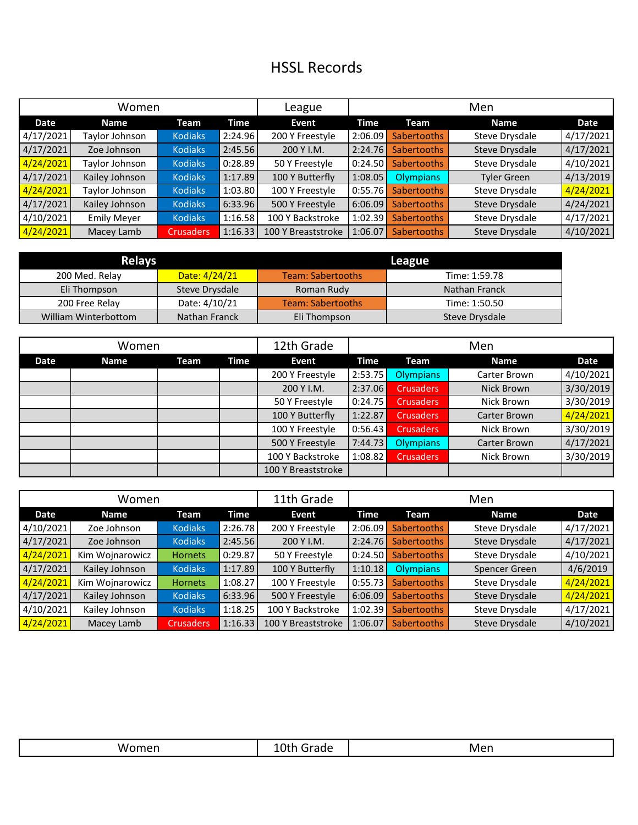## HSSL Records

| Women     |                    |                  |             | League             | Men     |                    |                    |           |
|-----------|--------------------|------------------|-------------|--------------------|---------|--------------------|--------------------|-----------|
| Date      | <b>Name</b>        | Team             | <b>Time</b> | Event              | Time    | Team               | <b>Name</b>        | Date      |
| 4/17/2021 | Taylor Johnson     | <b>Kodiaks</b>   | 2:24.96     | 200 Y Freestyle    | 2:06.09 | <b>Sabertooths</b> | Steve Drysdale     | 4/17/2021 |
| 4/17/2021 | Zoe Johnson        | <b>Kodiaks</b>   | 2:45.56     | 200 Y I.M.         | 2:24.76 | <b>Sabertooths</b> | Steve Drysdale     | 4/17/2021 |
| 4/24/2021 | Taylor Johnson     | <b>Kodiaks</b>   | 0:28.89     | 50 Y Freestyle     | 0:24.50 | <b>Sabertooths</b> | Steve Drysdale     | 4/10/2021 |
| 4/17/2021 | Kailey Johnson     | <b>Kodiaks</b>   | 1:17.89     | 100 Y Butterfly    | 1:08.05 | <b>Olympians</b>   | <b>Tyler Green</b> | 4/13/2019 |
| 4/24/2021 | Taylor Johnson     | <b>Kodiaks</b>   | 1:03.80     | 100 Y Freestyle    | 0:55.76 | <b>Sabertooths</b> | Steve Drysdale     | 4/24/2021 |
| 4/17/2021 | Kailey Johnson     | <b>Kodiaks</b>   | 6:33.96     | 500 Y Freestyle    | 6:06.09 | <b>Sabertooths</b> | Steve Drysdale     | 4/24/2021 |
| 4/10/2021 | <b>Emily Meyer</b> | <b>Kodiaks</b>   | 1:16.58     | 100 Y Backstroke   | 1:02.39 | <b>Sabertooths</b> | Steve Drysdale     | 4/17/2021 |
| 4/24/2021 | Macey Lamb         | <b>Crusaders</b> | 1:16.33     | 100 Y Breaststroke | 1:06.07 | <b>Sabertooths</b> | Steve Drysdale     | 4/10/2021 |

| <b>Relays</b>        |                | League                   |                |  |  |  |
|----------------------|----------------|--------------------------|----------------|--|--|--|
| 200 Med. Relay       | Date: 4/24/21  | <b>Team: Sabertooths</b> | Time: 1:59.78  |  |  |  |
| Eli Thompson         | Steve Drysdale | Roman Rudy               | Nathan Franck  |  |  |  |
| 200 Free Relay       | Date: 4/10/21  | <b>Team: Sabertooths</b> | Time: 1:50.50  |  |  |  |
| William Winterbottom | Nathan Franck  | Eli Thompson             | Steve Drysdale |  |  |  |

| Women |             |      |      | 12th Grade         |         |                  | Men          |             |
|-------|-------------|------|------|--------------------|---------|------------------|--------------|-------------|
| Date  | <b>Name</b> | Team | Time | Event              | Time    | Team             | <b>Name</b>  | <b>Date</b> |
|       |             |      |      | 200 Y Freestyle    | 2:53.75 | <b>Olympians</b> | Carter Brown | 4/10/2021   |
|       |             |      |      | 200 Y I.M.         | 2:37.06 | <b>Crusaders</b> | Nick Brown   | 3/30/2019   |
|       |             |      |      | 50 Y Freestyle     | 0:24.75 | <b>Crusaders</b> | Nick Brown   | 3/30/2019   |
|       |             |      |      | 100 Y Butterfly    | 1:22.87 | <b>Crusaders</b> | Carter Brown | 4/24/2021   |
|       |             |      |      | 100 Y Freestyle    | 0:56.43 | <b>Crusaders</b> | Nick Brown   | 3/30/2019   |
|       |             |      |      | 500 Y Freestyle    | 7:44.73 | <b>Olympians</b> | Carter Brown | 4/17/2021   |
|       |             |      |      | 100 Y Backstroke   | 1:08.82 | <b>Crusaders</b> | Nick Brown   | 3/30/2019   |
|       |             |      |      | 100 Y Breaststroke |         |                  |              |             |

| Women     |                 |                  |             | 11th Grade         | Men     |                    |                       |           |
|-----------|-----------------|------------------|-------------|--------------------|---------|--------------------|-----------------------|-----------|
| Date      | <b>Name</b>     | Team             | <b>Time</b> | Event              | Time    | Team               | <b>Name</b>           | Date      |
| 4/10/2021 | Zoe Johnson     | <b>Kodiaks</b>   | 2:26.78     | 200 Y Freestyle    | 2:06.09 | <b>Sabertooths</b> | Steve Drysdale        | 4/17/2021 |
| 4/17/2021 | Zoe Johnson     | <b>Kodiaks</b>   | 2:45.56     | 200 Y I.M.         | 2:24.76 | <b>Sabertooths</b> | Steve Drysdale        | 4/17/2021 |
| 4/24/2021 | Kim Wojnarowicz | <b>Hornets</b>   | 0:29.87     | 50 Y Freestyle     | 0:24.50 | <b>Sabertooths</b> | Steve Drysdale        | 4/10/2021 |
| 4/17/2021 | Kailey Johnson  | <b>Kodiaks</b>   | 1:17.89     | 100 Y Butterfly    | 1:10.18 | Olympians          | Spencer Green         | 4/6/2019  |
| 4/24/2021 | Kim Wojnarowicz | <b>Hornets</b>   | 1:08.27     | 100 Y Freestyle    | 0:55.73 | <b>Sabertooths</b> | Steve Drysdale        | 4/24/2021 |
| 4/17/2021 | Kailey Johnson  | <b>Kodiaks</b>   | 6:33.96     | 500 Y Freestyle    | 6:06.09 | <b>Sabertooths</b> | Steve Drysdale        | 4/24/2021 |
| 4/10/2021 | Kailey Johnson  | <b>Kodiaks</b>   | 1:18.25     | 100 Y Backstroke   | 1:02.39 | <b>Sabertooths</b> | Steve Drysdale        | 4/17/2021 |
| 4/24/2021 | Macey Lamb      | <b>Crusaders</b> | 1:16.33     | 100 Y Breaststroke | 1:06.07 | <b>Sabertooths</b> | <b>Steve Drysdale</b> | 4/10/2021 |

| W/ | $r \cap N$<br>raue<br>. | Men |
|----|-------------------------|-----|
|----|-------------------------|-----|